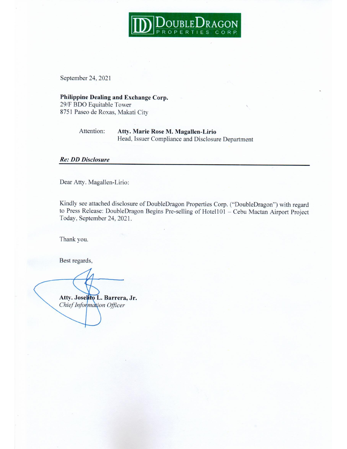

September 24, 2021

### Philippine Dealing and Exchange Corp. 29/F BDO Equitable Tower

8751 Paseo de Roxas, Makati City

#### Attention: Atty. Marie Rose M. Magallen-Lirio Head, Issuer Compliance and Disclosure Department

#### **Re: DD Disclosure**

Dear Atty. Magallen-Lirio:

Kindly see attached disclosure of DoubleDragon Properties Corp. ("DoubleDragon") with regard to Press Release: DoubleDragon Begins Pre-selling of Hotel101 - Cebu Mactan Airport Project Today, September 24, 2021.

Thank you.

Best regards,

Atty. Joselito L. Barrera, Jr. Chief Information Officer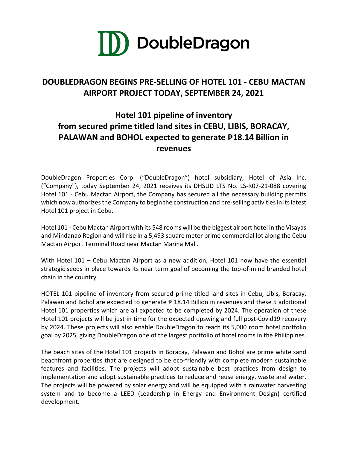

## **DOUBLEDRAGON BEGINS PRE-SELLING OF HOTEL 101 - CEBU MACTAN AIRPORT PROJECT TODAY, SEPTEMBER 24, 2021**

# **Hotel 101 pipeline of inventory from secured prime titled land sites in CEBU, LIBIS, BORACAY, PALAWAN and BOHOL expected to generate ₱18.14 Billion in revenues**

DoubleDragon Properties Corp. ("DoubleDragon") hotel subsidiary, Hotel of Asia Inc. ("Company"), today September 24, 2021 receives its DHSUD LTS No. LS-R07-21-088 covering Hotel 101 - Cebu Mactan Airport, the Company has secured all the necessary building permits which now authorizes the Company to begin the construction and pre-selling activities in its latest Hotel 101 project in Cebu.

Hotel 101 - Cebu Mactan Airport with its 548 rooms will be the biggest airport hotel in the Visayas and Mindanao Region and will rise in a 5,493 square meter prime commercial lot along the Cebu Mactan Airport Terminal Road near Mactan Marina Mall.

With Hotel 101 – Cebu Mactan Airport as a new addition, Hotel 101 now have the essential strategic seeds in place towards its near term goal of becoming the top-of-mind branded hotel chain in the country.

HOTEL 101 pipeline of inventory from secured prime titled land sites in Cebu, Libis, Boracay, Palawan and Bohol are expected to generate  $\overline{P}$  18.14 Billion in revenues and these 5 additional Hotel 101 properties which are all expected to be completed by 2024. The operation of these Hotel 101 projects will be just in time for the expected upswing and full post-Covid19 recovery by 2024. These projects will also enable DoubleDragon to reach its 5,000 room hotel portfolio goal by 2025, giving DoubleDragon one of the largest portfolio of hotel rooms in the Philippines.

The beach sites of the Hotel 101 projects in Boracay, Palawan and Bohol are prime white sand beachfront properties that are designed to be eco-friendly with complete modern sustainable features and facilities. The projects will adopt sustainable best practices from design to implementation and adopt sustainable practices to reduce and reuse energy, waste and water. The projects will be powered by solar energy and will be equipped with a rainwater harvesting system and to become a LEED (Leadership in Energy and Environment Design) certified development.